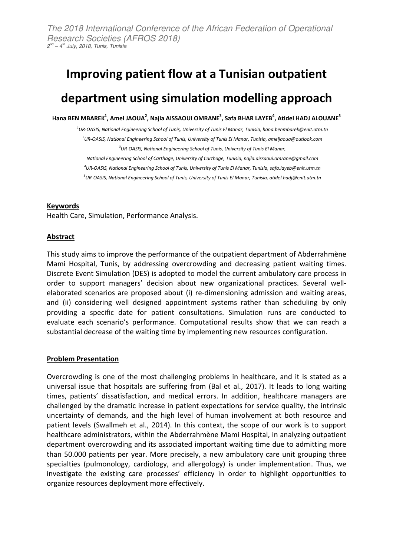# **Improving patient flow at a Tunisian outpatient department using simulation modelling approach**

**Hana BEN MBAREK<sup>1</sup> , Amel JAOUA<sup>2</sup> , Najla AISSAOUI OMRANE<sup>3</sup> , Safa BHAR LAYEB<sup>4</sup> , Atidel HADJ ALOUANE<sup>5</sup>**

*1 UR-OASIS, National Engineering School of Tunis, University of Tunis El Manar, Tunisia, hana.benmbarek@enit.utm.tn 2 UR-OASIS, National Engineering School of Tunis, University of Tunis El Manar, Tunisia, ameljaoua@outlook.com 3 UR-OASIS, National Engineering School of Tunis, University of Tunis El Manar,* 

*National Engineering School of Carthage, University of Carthage, Tunisia, najla.aissaoui.omrane@gmail.com 4 UR-OASIS, National Engineering School of Tunis, University of Tunis El Manar, Tunisia, safa.layeb@enit.utm.tn* 

*5 UR-OASIS, National Engineering School of Tunis, University of Tunis El Manar, Tunisia, atidel.hadj@enit.utm.tn* 

### **Keywords**

Health Care, Simulation, Performance Analysis.

# **Abstract**

This study aims to improve the performance of the outpatient department of Abderrahmène Mami Hospital, Tunis, by addressing overcrowding and decreasing patient waiting times. Discrete Event Simulation (DES) is adopted to model the current ambulatory care process in order to support managers' decision about new organizational practices. Several wellelaborated scenarios are proposed about (i) re-dimensioning admission and waiting areas, and (ii) considering well designed appointment systems rather than scheduling by only providing a specific date for patient consultations. Simulation runs are conducted to evaluate each scenario's performance. Computational results show that we can reach a substantial decrease of the waiting time by implementing new resources configuration.

### **Problem Presentation**

Overcrowding is one of the most challenging problems in healthcare, and it is stated as a universal issue that hospitals are suffering from (Bal et al., 2017). It leads to long waiting times, patients' dissatisfaction, and medical errors. In addition, healthcare managers are challenged by the dramatic increase in patient expectations for service quality, the intrinsic uncertainty of demands, and the high level of human involvement at both resource and patient levels (Swallmeh et al., 2014). In this context, the scope of our work is to support healthcare administrators, within the Abderrahmène Mami Hospital, in analyzing outpatient department overcrowding and its associated important waiting time due to admitting more than 50.000 patients per year. More precisely, a new ambulatory care unit grouping three specialties (pulmonology, cardiology, and allergology) is under implementation. Thus, we investigate the existing care processes' efficiency in order to highlight opportunities to organize resources deployment more effectively.